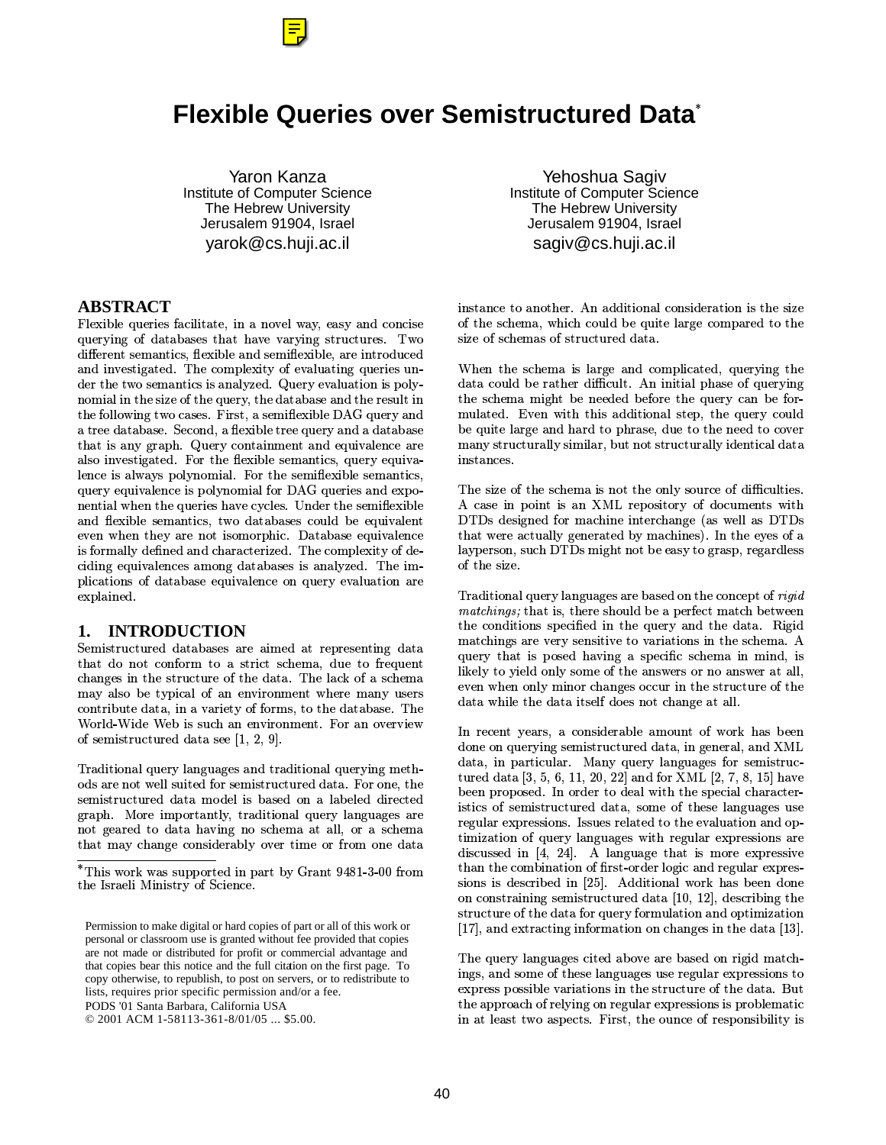

Yaron Kanza Institute of Computer Science The Hebrew University Jerusalem 91904, Israel yarok@cs.huji.ac.il

### **ABSTRACT**

Flexible queries facilitate, in a novel way, easy and concise of querving of databases that have varving structures. Two size 2 AB".C5D%".#.E3 -F"3295D9E3G -#H#".5&2 02 and investigated. The complexity of evaluating queries under the two semantics is analyzed. Query evaluation is poly-"& D9#-."T:N5W@&:@.5-.:V2( 5C"32F:R5-:V[& --&(\*\"6FL\*C&H05=R10.H5D9E -V]H^P\_`.5-T"32 \5C2 35=Na & "32B),E3G -#N5,.G5-8"2JH2( 35 that is any graph. Query containment and equivalence are  $\qquad$  m also investigated. For the flexible semantics, query equiva--"
T-\*,- FKZ& -- "&D9c-d=8&:J5D9E3 -J5D%".  $\alpha$ uerv equivalence is polynomial for DAG queries and expo- $\,$  nential when the queries have cycles. Under the semiflexib and flexible semantics, two databases could be equivalent  $\qquad \quad \, \text{]}$ even when they are not isomorphic. Database equivalence  $\qquad$  th U&D%---Y2 j3"02
"32JG:GW02/=N>C:,& D9K- S-8&B2 Q ciding equivalences among databases is analyzed. The im- $\bm{\mathrm{p}}$  includes the interval of database equivalence on query evaluation are GK-#"02B=

# **1. INTRODUCTION**

aD915 that do not conform to a strict schema, due to frequent :3"6"4:815G8&R:J2 =>C:J-#q;&CY5:D%  $\max$  also be typical of an environment where many users  $\qquad \tilde{\phantom{a}}$ contribute data, in a variety of forms, to the database. The  $\frac{ac}{2}$ World-Wide Web is such an environment. For an overview the set of  $\sim$ of semistructured data see  $[1, 2, 9]$ .

>/ 2& "-/.5-Y-c"636\"2%52& "-/.5- "68D9: Q &2 @(,"&N\*@--502b&@5D9#152
2( =R&N& " : 5D9#152i27D9&2 -,O 502o& "`<-# Z-02`202 6K:+=gz;&;D9KZ&5".--.U52& "-\.5-7-#"636 9( not geared to data having no schema at all, or a schema  $\frac{1.6}{1.6}$ that may change considerably over time or from one data

PODS '01 Santa Barbara, California USA

Yehoshua Sagiv Institute of Computer Science The Hebrew University Jerusalem 91904, Israel sagiv@cs.huji.ac.il

"1"F&9"&:0=V^H"; 22& "3-+& "5#2 & "4,:T5W c(6 Ya D9K3(02) - 200 No. 200 No. 200 No. 200 No. 200 No. 200 No. 200 No. 200 No. 200 No. 200 No. 200 No. 200 N size of schemas of structured data.

#" :O5:D%ID96 :.b ZM"02 02p Z&M:O.G5-h0"o Z%&5Q rk:"i:45G:D%<%-#6 <"2i&D9K-02/P.5- "6\$: 2(9& -c2l Z8:GT29-0=T^P"4#"c-UK:5J&@5- "6 mulated. Even with this additional step, the query could be quite large and hard to phrase, due to the need to cover D%".-H15 ---F5D9-#0 +"&+15 ---F#2"0-.2( instances.

 ^05I"oKZ& ".%9"iTzIkKZ& 5&5-o&T2&.D9".b\*\: >C:T5W8&:T5:D%JH"&,:T&"--O5& 8&N29-= ]T>C]Fb25#6"02\$&
D%:"
#".:3"6\$sJ\*@--C
]T>C]F :3(,\*CF---;6"(02M .-%D%G:#"G=US"O:F-.,&U -#-KZG5& "+5:J]T>C]FUD96 :."&U ZV01-8&P65K+ 6)2 -5 of the size.

>+2& "3-.5-H-#"636 U(V 502T&"F:R& "K &B#s 9y:3@.:P5:&-#2Y ZTKZ5[@D%:9 ZL\*@" the conditions specified in the query and the data. Rigid matchings are very sensitive to variations in the schema. A query that is posed having a specific schema in mind, is -q)--%&
- #-c2O& "--O5&D9&!:T"1\*CGP&P"&Y"1\*@HP--<sup>d</sup> even when only minor changes occur in the structure of the  $\;$ 2(b\*\:-T:T2
5-N2 &.\"&P:3"6 FH--d=

L"i".O-.0Hh&"5#2G -<D9&".%&8\*C&q`:O Z"  $\mathbf{1}$  , the state of the state of the state of the state of the state of the state of the state of the state of the state of the state of the state of the state of the state of the state of the state of the state of th  $\blacksquare$  . On the matrix of the matrix of the matrix of the matrix of the matrix of the matrix of the matrix of the matrix of the matrix of the matrix of the matrix of the matrix of the matrix of the matrix of the matrix of tured data  $[3, 5, 6, 11, 20, 22]$  and for XML  $[2, 7, 8, 15]$  have Z";K& KZ&502/=CL";&2P&%2-+\*\:;:T5KZ#-!G:G5Q 1Y&H5D915G02p2 N5&D9M&H:5M-#"6 695  ${\rm regular\,\,expressions.\,\,\,Issues\,\,related\,\,to\,\,the\,\,evaluation\,\,and\,\,on-}$ D9W0& "7&P.5-l-#"6 6b\*\:76-#b K55#&"J discussed in [4, 24]. A language that is more expressive :3"Y:,&D #"& "9&Bj15Qy&2 N-#&6 F"32b6 -#(C K1Q 5& THIRD ISLAMIC STATE AND THE STATE AND THE STATE AND THE STATE AND THE STATE AND THE STATE AND THE STATE AND THE STATE AND THE STATE AND THE STATE AND THE STATE AND THE STATE AND THE STATE AND THE STATE AND THE STATE AND & "M& "15""6Y5D915 02%2(Mtu0+u0v(xsZ2 5 "6J: 15G@&3:@2(P&N.5-T[&D
-#& "
"328& K D9#W& "  $[17]$ , and extracting information on changes in the data  $[13]$ .

The query languages cited above are based on rigid match-"6 "3295&D9P&+:5P-c"636C5P6-#C K55& "V& express possible variations in the structure of the data. But  $\blacksquare$  . The contract of the contract of the contract of the contract of the contract of the contract of the contract of the contract of the contract of the contract of the contract of the contract of the contract of the "lH-01HL\*C&O5KZ=P10Z:T&"J&R5KZ& "5# -#S-4

>C:C\*C&q%\*C\5KKZ&502O";K3(5, .-M\_H".Pw| } uGQL~(QS 
[&D :TL1-z;"155-;&Na"=

Permission to make digital or hard copies of part or all of this work or personal or classroom use is granted without fee provided that copies are not made or distributed for profit or commercial advantage and that copies bear this notice and the full citation on the first page. To copy otherwise, to republish, to post on servers, or to redistribute to lists, requires prior specific permission and/or a fee.

<sup>© 2001</sup> ACM 1-58113-361-8/01/05 ... \$5.00.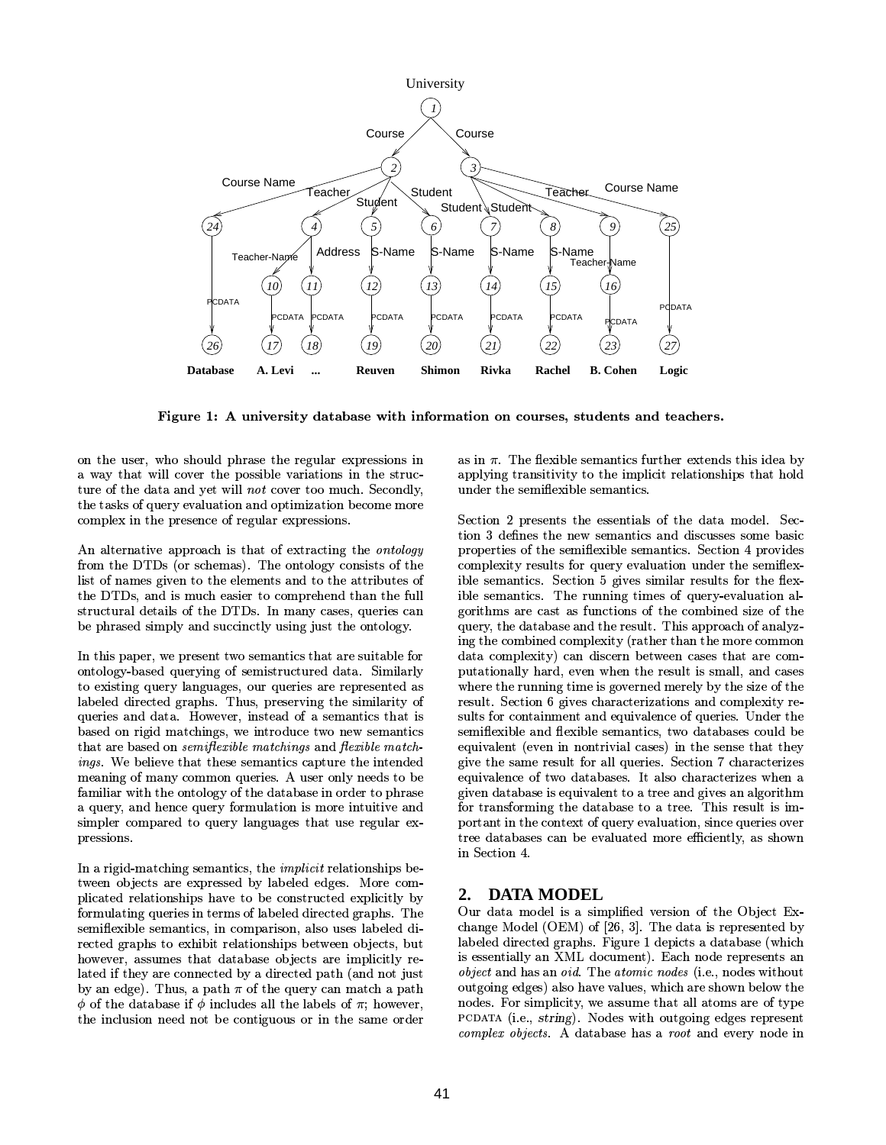

Figure 1: A university database with information on courses, students and teachers.

on the user, who should phrase the regular expressions in a way that will cover the possible variations in the structure of the data and yet will not cover too much. Secondly, the tasks of query evaluation and optimization become more complex in the presence of regular expressions.

An alternative approach is that of extracting the *ontology* from the DTDs (or schemas). The ontology consists of the list of names given to the elements and to the attributes of the DTDs, and is much easier to comprehend than the full structural details of the DTDs. In many cases, queries can be phrased simply and succinctly using just the ontology.

In this paper, we present two semantics that are suitable for ontology-based querying of semistructured data. Similarly to existing query languages, our queries are represented as labeled directed graphs. Thus, preserving the similarity of queries and data. However, instead of a semantics that is based on rigid matchings, we introduce two new semantics that are based on *semiflexible matchings* and *flexible match* ings. We believe that these semantics capture the intended meaning of many common queries. A user only needs to be familiar with the ontology of the database in order to phrase a query, and hence query formulation is more intuitive and simpler compared to query languages that use regular expressions.

In a rigid-matching semantics, the *implicit* relationships between objects are expressed by labeled edges. More complicated relationships have to be constructed explicitly by formulating queries in terms of labeled directed graphs. The semiflexible semantics, in comparison, also uses labeled directed graphs to exhibit relationships between objects, but however, assumes that database objects are implicitly related if they are connected by a directed path (and not just by an edge). Thus, a path  $\pi$  of the query can match a path  $\phi$  of the database if  $\phi$  includes all the labels of  $\pi$ ; however, the inclusion need not be contiguous or in the same order as in  $\pi$ . The flexible semantics further extends this idea by applying transitivity to the implicit relationships that hold under the semiflexible semantics.

Section 2 presents the essentials of the data model. Section 3 defines the new semantics and discusses some basic properties of the semiflexible semantics. Section 4 provides complexity results for query evaluation under the semiflexible semantics. Section 5 gives similar results for the flexible semantics. The running times of query-evaluation algorithms are cast as functions of the combined size of the query, the database and the result. This approach of analyzing the combined complexity (rather than the more common data complexity) can discern between cases that are computationally hard, even when the result is small, and cases where the running time is governed merely by the size of the result. Section 6 gives characterizations and complexity results for containment and equivalence of queries. Under the semiflexible and flexible semantics, two databases could be equivalent (even in nontrivial cases) in the sense that they give the same result for all queries. Section 7 characterizes equivalence of two databases. It also characterizes when a given database is equivalent to a tree and gives an algorithm for transforming the database to a tree. This result is important in the context of query evaluation, since queries over tree databases can be evaluated more efficiently, as shown in Section 4.

# 2. DATA MODEL

Our data model is a simplified version of the Object Exchange Model (OEM) of  $[26, 3]$ . The data is represented by labeled directed graphs. Figure 1 depicts a database (which is essentially an XML document). Each node represents an *object* and has an *oid*. The *atomic nodes* (i.e., nodes without outgoing edges) also have values, which are shown below the nodes. For simplicity, we assume that all atoms are of type PCDATA (i.e., string). Nodes with outgoing edges represent complex objects. A database has a root and every node in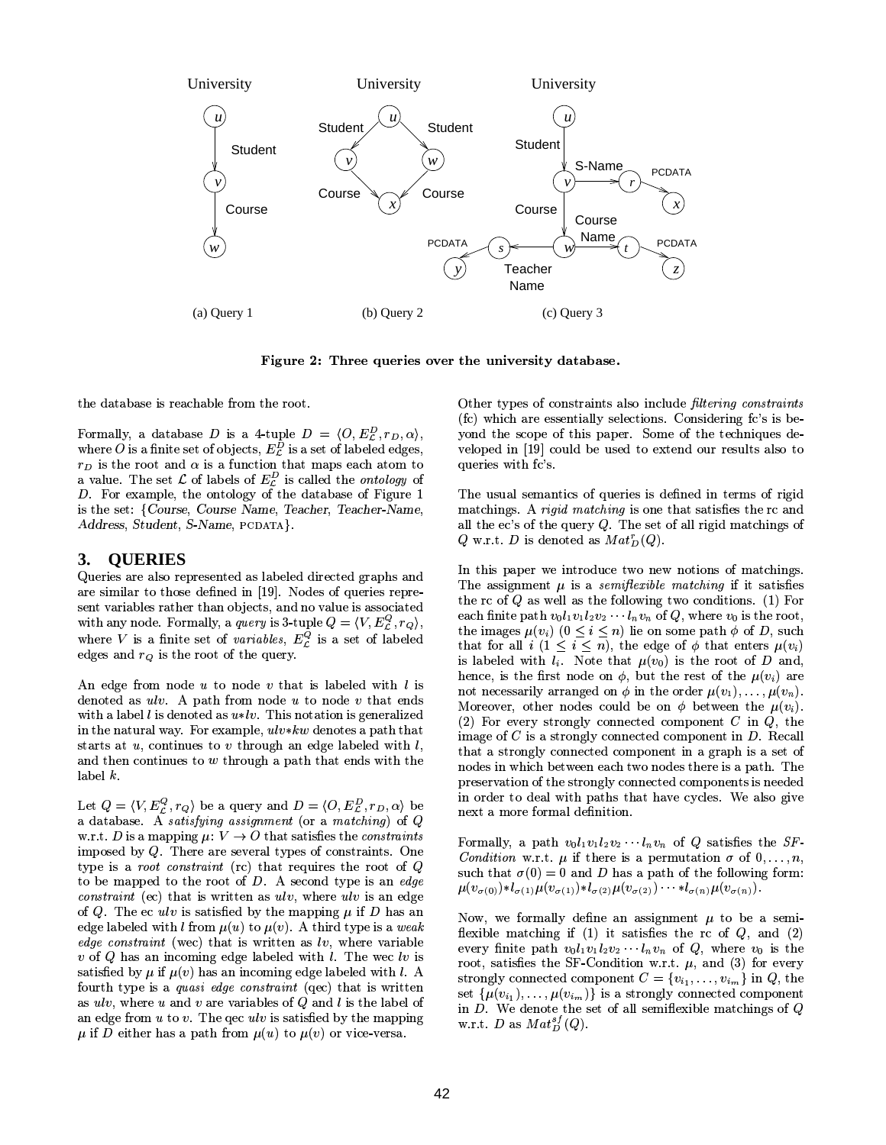

Figure 2: Three queries over the university database.

the database is reachable from the root.

Formally, a database D is a 4-tuple  $D = \langle O, E_{\mathcal{L}}^D, r_D, \alpha \rangle$ , where O is a finite set of objects,  $E_{\mathcal{L}}^{\overline{D}}$  is a set of labeled edges,  $r_D$  is the root and  $\alpha$  is a function that maps each atom to a value. The set  $\mathcal L$  of labels of  $E_{\mathcal L}^D$  is called the *ontology* of D. For example, the ontology of the database of Figure 1 is the set: {Course, Course Name, Teacher, Teacher-Name, Address, Student, S-Name, PCDATA}.

#### 3. **OUERIES**

Queries are also represented as labeled directed graphs and are similar to those defined in [19]. Nodes of queries represent variables rather than objects, and no value is associated with any node. Formally, a *query* is 3-tuple  $Q = \langle V, E_{\mathcal{L}}^Q, r_Q \rangle$ , where V is a finite set of *variables*,  $E_{\mathcal{L}}^Q$  is a set of labeled edges and  $r_Q$  is the root of the query.

An edge from node  $u$  to node  $v$  that is labeled with  $l$  is denoted as  $ulv$ . A path from node  $u$  to node  $v$  that ends with a label  $l$  is denoted as  $u * l v$ . This notation is generalized in the natural way. For example,  $ulv*kw$  denotes a path that starts at  $u$ , continues to  $v$  through an edge labeled with  $l$ , and then continues to  $w$  through a path that ends with the  $label k.$ 

Let  $Q = \langle V, E_{\mathcal{L}}^Q, r_Q \rangle$  be a query and  $D = \langle O, E_{\mathcal{L}}^D, r_D, \alpha \rangle$  be a database. A satisfying assignment (or a matching) of  $Q$ w.r.t. D is a mapping  $\mu: V \to O$  that satisfies the constraints imposed by  $Q$ . There are several types of constraints. One type is a root constraint (rc) that requires the root of  $Q$ to be mapped to the root of  $D$ . A second type is an edge *constraint* (ec) that is written as  $ulv$ , where  $ulv$  is an edge of Q. The ec ulv is satisfied by the mapping  $\mu$  if D has an edge labeled with l from  $\mu(u)$  to  $\mu(v)$ . A third type is a weak *edge constraint* (wec) that is written as  $\ell v$ , where variable  $v$  of Q has an incoming edge labeled with l. The wec lv is satisfied by  $\mu$  if  $\mu(v)$  has an incoming edge labeled with l. A fourth type is a *quasi edge constraint* (qec) that is written as  $ulv$ , where u and v are variables of Q and l is the label of an edge from  $u$  to  $v$ . The gec  $ulv$  is satisfied by the mapping  $\mu$  if D either has a path from  $\mu(u)$  to  $\mu(v)$  or vice-versa.

Other types of constraints also include filtering constraints (fc) which are essentially selections. Considering fc's is beyond the scope of this paper. Some of the techniques developed in [19] could be used to extend our results also to queries with fc's.

The usual semantics of queries is defined in terms of rigid matchings. A rigid matching is one that satisfies the rc and all the ec's of the query  $Q$ . The set of all rigid matchings of Q w.r.t. D is denoted as  $Mat_D^r(Q)$ .

In this paper we introduce two new notions of matchings. The assignment  $\mu$  is a *semiflexible matching* if it satisfies the rc of  $Q$  as well as the following two conditions. (1) For each finite path  $v_0l_1v_1l_2v_2\cdots l_nv_n$  of Q, where  $v_0$  is the root, the images  $\mu(v_i)$   $(0 \le i \le n)$  lie on some path  $\phi$  of D, such that for all  $i$   $(1 \leq i \leq n)$ , the edge of  $\phi$  that enters  $\mu(v_i)$ is labeled with  $l_i$ . Note that  $\mu(v_0)$  is the root of D and, hence, is the first node on  $\phi$ , but the rest of the  $\mu(v_i)$  are not necessarily arranged on  $\phi$  in the order  $\mu(v_1), \ldots, \mu(v_n)$ . Moreover, other nodes could be on  $\phi$  between the  $\mu(v_i)$ . (2) For every strongly connected component  $C$  in  $Q$ , the image of  $C$  is a strongly connected component in  $D$ . Recall that a strongly connected component in a graph is a set of nodes in which between each two nodes there is a path. The preservation of the strongly connected components is needed in order to deal with paths that have cycles. We also give next a more formal definition.

Formally, a path  $v_0l_1v_1l_2v_2\cdots l_nv_n$  of Q satisfies the SF *Condition* w.r.t.  $\mu$  if there is a permutation  $\sigma$  of  $0, \ldots, n$ , such that  $\sigma(0) = 0$  and D has a path of the following form:  $\mu(v_{\sigma(0)}) * l_{\sigma(1)} \mu(v_{\sigma(1)}) * l_{\sigma(2)} \mu(v_{\sigma(2)}) \cdots * l_{\sigma(n)} \mu(v_{\sigma(n)}).$ 

Now, we formally define an assignment  $\mu$  to be a semiflexible matching if (1) it satisfies the rc of  $Q$ , and (2) every finite path  $v_0l_1v_1l_2v_2\cdots l_nv_n$  of Q, where  $v_0$  is the root, satisfies the SF-Condition w.r.t.  $\mu$ , and (3) for every strongly connected component  $C = \{v_{i_1}, \ldots, v_{i_m}\}$  in  $Q$ , the set  $\{\mu(v_{i_1}), \ldots, \mu(v_{i_m})\}$  is a strongly connected component in  $D$ . We denote the set of all semiflexible matchings of  $Q$ w.r.t. D as  $Mat_D^{sf}(Q)$ .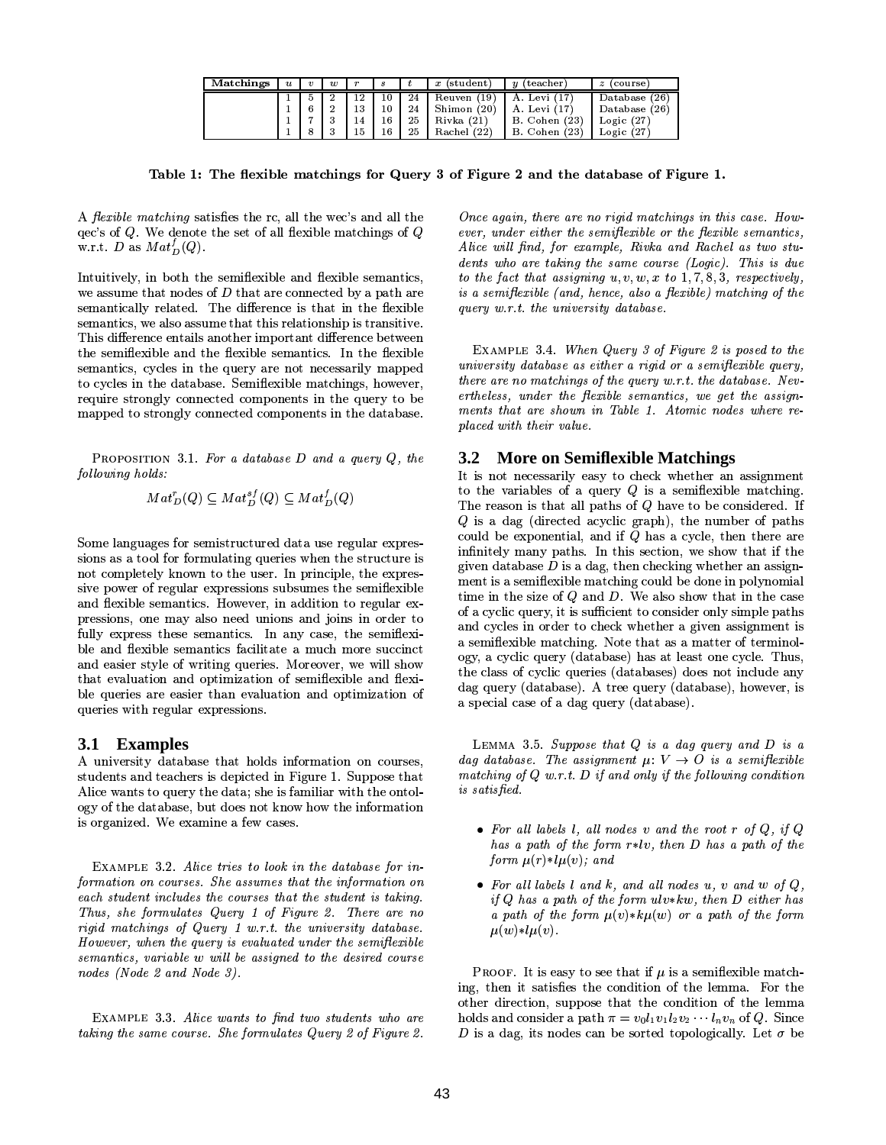| Matchings | $\boldsymbol{u}$ | $\boldsymbol{v}$ | $\boldsymbol{w}$ | $\boldsymbol{r}$ | $\boldsymbol{s}$ |    | x (student)   | (teacher)<br>$\boldsymbol{u}$ | (course)<br>$\boldsymbol{z}$ |
|-----------|------------------|------------------|------------------|------------------|------------------|----|---------------|-------------------------------|------------------------------|
|           |                  |                  |                  |                  | 10               | 24 | Reuven $(19)$ | A. Levi (17,                  | Database (26)                |
|           |                  |                  | $\sim$           | 13               | 10               | 24 | Shimon $(20)$ | A. Levi (17)                  | Database (26)                |
|           |                  |                  | $\cdot$          | 14               | 16               | 25 | Rivka(21)     | <b>B.</b> Cohen (23)          | Logic $(27)$                 |
|           |                  |                  |                  | 15               | 16               | 25 | Rachel (22)   | <b>B.</b> Cohen (23)          | Logic $(27)$                 |

Table 1: The flexible matchings for Query 3 of Figure 2 and the database of Figure 1.

A *flexible matching* satisfies the rc, all the wee's and all the  $\chi$  qec's of Q. We denote the set of all flexible matchings of Q w.r.t. D as  $Mat_D^f(Q)$ .

Intuitively, in both the semiflexible and flexible semantics, we assume that nodes of  $D$  that are connected by a path are semantically related. The difference is that in the flexible semantics, we also assume that this relationship is transitive. This difference entails another important difference between the semiflexible and the flexible semantics. In the flexible semantics, cycles in the query are not necessarily mapped to cycles in the database. Semiflexible matchings, however, require strongly connected components in the query to be mapped to strongly connected components in the database.

PROPOSITION 3.1. For a database  $D$  and a query  $Q$ , the following holds:

$$
Mat_D^r(Q) \subset Mat_D^{sf}(Q) \subset Mat_D^f(Q)
$$

Some languages for semistructured data use regular expressions as a tool for formulating queries when the structure is not completely known to the user. In principle, the expressive power of regular expressions subsumes the semiflexible and flexible semantics. However, in addition to regular expressions, one may also need unions and joins in order to fully express these semantics. In any case, the semiflexible and flexible semantics facilitate a much more succinct and easier style of writing queries. Moreover, we will show that evaluation and optimization of semiflexible and flexible queries are easier than evaluation and optimization of queries with regular expressions.

### 3.1 Examples

A university database that holds information on courses, students and teachers is depicted in Figure 1. Suppose that Alice wants to query the data; she is familiar with the ontology of the database, but does not know how the information is organized. We examine a few cases.

EXAMPLE 3.2. Alice tries to look in the database for information on courses. She assumes that the information on each student includes the courses that the student is taking. Thus, she formulates Query 1 of Figure 2. There are no rigid matchings of Query 1 w.r.t. the university database. However, when the query is evaluated under the semiflexible semantics, variable w will be assigned to the desired course nodes (Node 2 and Node 3).

EXAMPLE 3.3. Alice wants to find two students who are taking the same course. She formulates Query 2 of Figure 2.

Once again, there are no rigid matchings in this case. However, under either the semiflexible or the flexible semantics, Alice will find, for example, Rivka and Rachel as two students who are taking the same course (Logic). This is due to the fact that assigning  $u, v, w, x$  to 1, 7, 8, 3, respectively, is a semifierible (and, hence, also a flexible) matching of the query w.r.t. the university database.

EXAMPLE 3.4. When Query 3 of Figure 2 is posed to the university database as either a rigid or a semiflexible query, there are no matchings of the query w.r.t. the database. Nevertheless, under the flexible semantics, we get the assignments that are shown in Table 1. Atomic nodes where replaced with their value.

## 3.2 More on Semiflexible Matchings

It is not necessarily easy to check whether an assignment to the variables of a query  $Q$  is a semiflexible matching. The reason is that all paths of  $Q$  have to be considered. If  $Q$  is a dag (directed acyclic graph), the number of paths could be exponential, and if  $Q$  has a cycle, then there are infinitely many paths. In this section, we show that if the given database  $D$  is a dag, then checking whether an assignment is a semiflexible matching could be done in polynomial time in the size of  $Q$  and  $D$ . We also show that in the case of a cyclic query, it is sufficient to consider only simple paths and cycles in order to check whether a given assignment is a semiflexible matching. Note that as a matter of terminology, a cyclic query (database) has at least one cycle. Thus, the class of cyclic queries (databases) does not include any dag query (database). A tree query (database), however, is a special case of a dag query (database).

LEMMA 3.5. Suppose that  $Q$  is a dag query and  $D$  is a dag database. The assignment  $\mu: V \to O$  is a semiflexible matching of  $Q$  w.r.t. D if and only if the following condition is satisfied.

- For all labels l, all nodes v and the root r of  $Q$ , if  $Q$ has a path of the form  $r * l v$ , then D has a path of the form  $\mu(r)*l\mu(v)$ ; and
- For all labels l and k, and all nodes u, v and w of  $Q$ , if  $Q$  has a path of the form  $ulv*kw$ , then  $D$  either has a path of the form  $\mu(v)*k\mu(w)$  or a path of the form  $\mu(w) * l\mu(v)$ .

**PROOF.** It is easy to see that if  $\mu$  is a semiflexible matching, then it satisfies the condition of the lemma. For the other direction, suppose that the condition of the lemma holds and consider a path  $\pi = v_0 l_1 v_1 l_2 v_2 \cdots l_n v_n$  of Q. Since D is a dag, its nodes can be sorted topologically. Let  $\sigma$  be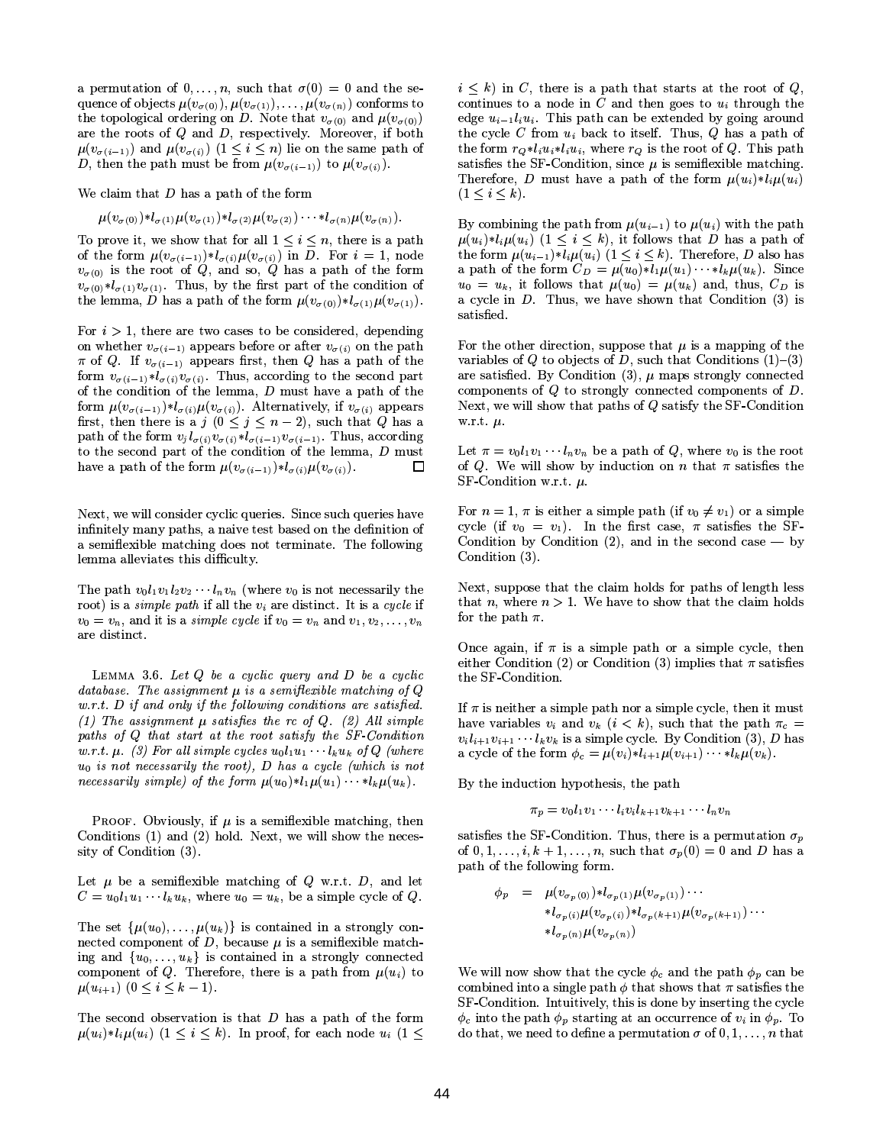a permutation of  $0, \ldots, n$ , such that  $\sigma(0) = 0$  and the sequence of objects  $\mu(v_{\sigma(0)}), \mu(v_{\sigma(1)}), \ldots, \mu(v_{\sigma(n)})$  conforms to the topological ordering on D. Note that  $v_{\sigma(0)}$  and  $\mu(v_{\sigma(0)})$ are the roots of  $Q$  and  $D$ , respectively. Moreover, if both  $\mu(v_{\sigma(i-1)})$  and  $\mu(v_{\sigma(i)})$   $(1 \leq i \leq n)$  lie on the same path of D, then the path must be from  $\mu(v_{\sigma(i-1)})$  to  $\mu(v_{\sigma(i)})$ .

We claim that  $D$  has a path of the form

$$
\mu(v_{\sigma(0)}) * l_{\sigma(1)} \mu(v_{\sigma(1)}) * l_{\sigma(2)} \mu(v_{\sigma(2)}) \cdots * l_{\sigma(n)} \mu(v_{\sigma(n)}).
$$

To prove it, we show that for all  $1 \leq i \leq n$ , there is a path of the form  $\mu(v_{\sigma(i-1)}) * l_{\sigma(i)} \mu(v_{\sigma(i)})$  in D. For  $i = 1$ , node  $v_{\sigma(0)}$  is the root of Q, and so, Q has a path of the form  $v_{\sigma(0)} * l_{\sigma(1)} v_{\sigma(1)}$ . Thus, by the first part of the condition of the lemma, D has a path of the form  $\mu(v_{\sigma(0)}) * l_{\sigma(1)} \mu(v_{\sigma(1)})$ .

For  $i > 1$ , there are two cases to be considered, depending on whether  $v_{\sigma(i-1)}$  appears before or after  $v_{\sigma(i)}$  on the path  $\pi$  of Q. If  $v_{\sigma(i-1)}$  appears first, then Q has a path of the form  $v_{\sigma(i-1)} * l_{\sigma(i)} v_{\sigma(i)}$ . Thus, according to the second part of the condition of the lemma,  $D$  must have a path of the form  $\mu(v_{\sigma(i-1)}) * l_{\sigma(i)} \mu(v_{\sigma(i)})$ . Alternatively, if  $v_{\sigma(i)}$  appears first, then there is a  $j$   $(0 \le j \le n-2)$ , such that Q has a path of the form  $v_j l_{\sigma(i)} v_{\sigma(i)} * l_{\sigma(i-1)} v_{\sigma(i-1)}$ . Thus, according to the second part of the condition of the lemma, D must have a path of the form  $\mu(v_{\sigma(i-1)}) * l_{\sigma(i)} \mu(v_{\sigma(i)})$ . 口

Next, we will consider cyclic queries. Since such queries have infinitely many paths, a naive test based on the definition of a semiflexible matching does not terminate. The following lemma alleviates this difficulty.

The path  $v_0l_1v_1l_2v_2\cdots l_nv_n$  (where  $v_0$  is not necessarily the root) is a *simple path* if all the  $v_i$  are distinct. It is a cycle if  $v_0 = v_n$ , and it is a *simple cycle* if  $v_0 = v_n$  and  $v_1, v_2, \ldots, v_n$ are distinct.

LEMMA 3.6. Let  $Q$  be a cyclic query and  $D$  be a cyclic database. The assignment  $\mu$  is a semiflexible matching of  $Q$  $w.r.t. D$  if and only if the following conditions are satisfied. (1) The assignment  $\mu$  satisfies the rc of Q. (2) All simple paths of Q that start at the root satisfy the SF-Condition w.r.t.  $\mu$ . (3) For all simple cycles  $u_0l_1u_1 \cdots l_ku_k$  of Q (where  $u_0$  is not necessarily the root), D has a cycle (which is not *necessarily simple)* of the form  $\mu(u_0) * l_1 \mu(u_1) \cdots * l_k \mu(u_k)$ .

**PROOF.** Obviously, if  $\mu$  is a semiflexible matching, then Conditions (1) and (2) hold. Next, we will show the necessity of Condition (3).

Let  $\mu$  be a semiflexible matching of  $Q$  w.r.t.  $D$ , and let  $C = u_0 l_1 u_1 \cdots l_k u_k$ , where  $u_0 = u_k$ , be a simple cycle of Q.

The set  $\{\mu(u_0), \ldots, \mu(u_k)\}\$  is contained in a strongly connected component of D, because  $\mu$  is a semiflexible matching and  $\{u_0, \ldots, u_k\}$  is contained in a strongly connected component of Q. Therefore, there is a path from  $\mu(u_i)$  to  $\mu(u_{i+1})$   $(0 \leq i \leq k-1)$ .

The second observation is that  $D$  has a path of the form  $\mu(u_i) * l_i \mu(u_i)$   $(1 \leq i \leq k)$ . In proof, for each node  $u_i$   $(1 \leq$   $i \leq k$ ) in C, there is a path that starts at the root of Q, continues to a node in  $C$  and then goes to  $u_i$  through the edge  $u_{i-1}l_iu_i$ . This path can be extended by going around the cycle C from  $u_i$  back to itself. Thus, Q has a path of the form  $r_{\mathcal{O}}*l_iu_i*l_iu_i$ , where  $r_{\mathcal{O}}$  is the root of  $Q$ . This path satisfies the SF-Condition, since  $\mu$  is semiflexible matching. Therefore, D must have a path of the form  $\mu(u_i) * l_i \mu(u_i)$  $(1 < i < k)$ .

By combining the path from  $\mu(u_{i-1})$  to  $\mu(u_i)$  with the path  $\mu(u_i) * l_i \mu(u_i)$   $(1 \leq i \leq k)$ , it follows that D has a path of the form  $\mu(u_{i-1}) * l_i \mu(u_i)$   $(1 \leq i \leq k)$ . Therefore, D also has a path of the form  $C_D = \mu(u_0) * l_1 \mu(u_1) \cdots * l_k \mu(u_k)$ . Since  $u_0 = u_k$ , it follows that  $\mu(u_0) = \mu(u_k)$  and, thus,  $C_D$  is a cycle in  $D$ . Thus, we have shown that Condition  $(3)$  is satisfied.

For the other direction, suppose that  $\mu$  is a mapping of the variables of Q to objects of D, such that Conditions  $(1)$ – $(3)$ are satisfied. By Condition  $(3)$ ,  $\mu$  maps strongly connected components of  $Q$  to strongly connected components of  $D$ . Next, we will show that paths of  $Q$  satisfy the SF-Condition w.r.t.  $\mu$ .

Let  $\pi = v_0 l_1 v_1 \cdots l_n v_n$  be a path of Q, where  $v_0$  is the root of Q. We will show by induction on n that  $\pi$  satisfies the SF-Condition w.r.t.  $\mu$ .

For  $n = 1$ ,  $\pi$  is either a simple path (if  $v_0 \neq v_1$ ) or a simple cycle (if  $v_0 = v_1$ ). In the first case,  $\pi$  satisfies the SF-Condition by Condition (2), and in the second case  $-$  by Condition (3).

Next, suppose that the claim holds for paths of length less that *n*, where  $n > 1$ . We have to show that the claim holds for the path  $\pi$ .

Once again, if  $\pi$  is a simple path or a simple cycle, then either Condition (2) or Condition (3) implies that  $\pi$  satisfies the SF-Condition.

If  $\pi$  is neither a simple path nor a simple cycle, then it must have variables  $v_i$  and  $v_k$   $(i < k)$ , such that the path  $\pi_c =$  $v_i l_{i+1} v_{i+1} \cdots l_k v_k$  is a simple cycle. By Condition (3), D has a cycle of the form  $\phi_c = \mu(v_i) * l_{i+1} \mu(v_{i+1}) \cdots * l_k \mu(v_k)$ .

By the induction hypothesis, the path

 $\pi_p = v_0 l_1 v_1 \cdots l_i v_i l_{k+1} v_{k+1} \cdots l_n v_n$ 

satisfies the SF-Condition. Thus, there is a permutation  $\sigma_p$ of  $0, 1, \ldots, i, k + 1, \ldots, n$ , such that  $\sigma_p(0) = 0$  and D has a path of the following form.

$$
\begin{array}{rcl}\n\phi_p & = & \mu(v_{\sigma_p(0)}) \ast l_{\sigma_p(1)} \mu(v_{\sigma_p(1)}) \cdots \\
& *l_{\sigma_p(i)} \mu(v_{\sigma_p(i)}) \ast l_{\sigma_p(k+1)} \mu(v_{\sigma_p(k+1)}) \cdots \\
& *l_{\sigma_p(n)} \mu(v_{\sigma_p(n)})\n\end{array}
$$

We will now show that the cycle  $\phi_c$  and the path  $\phi_p$  can be combined into a single path  $\phi$  that shows that  $\pi$  satisfies the SF-Condition. Intuitively, this is done by inserting the cycle  $\phi_c$  into the path  $\phi_p$  starting at an occurrence of  $v_i$  in  $\phi_p$ . To do that, we need to define a permutation  $\sigma$  of  $0,1,\ldots,n$  that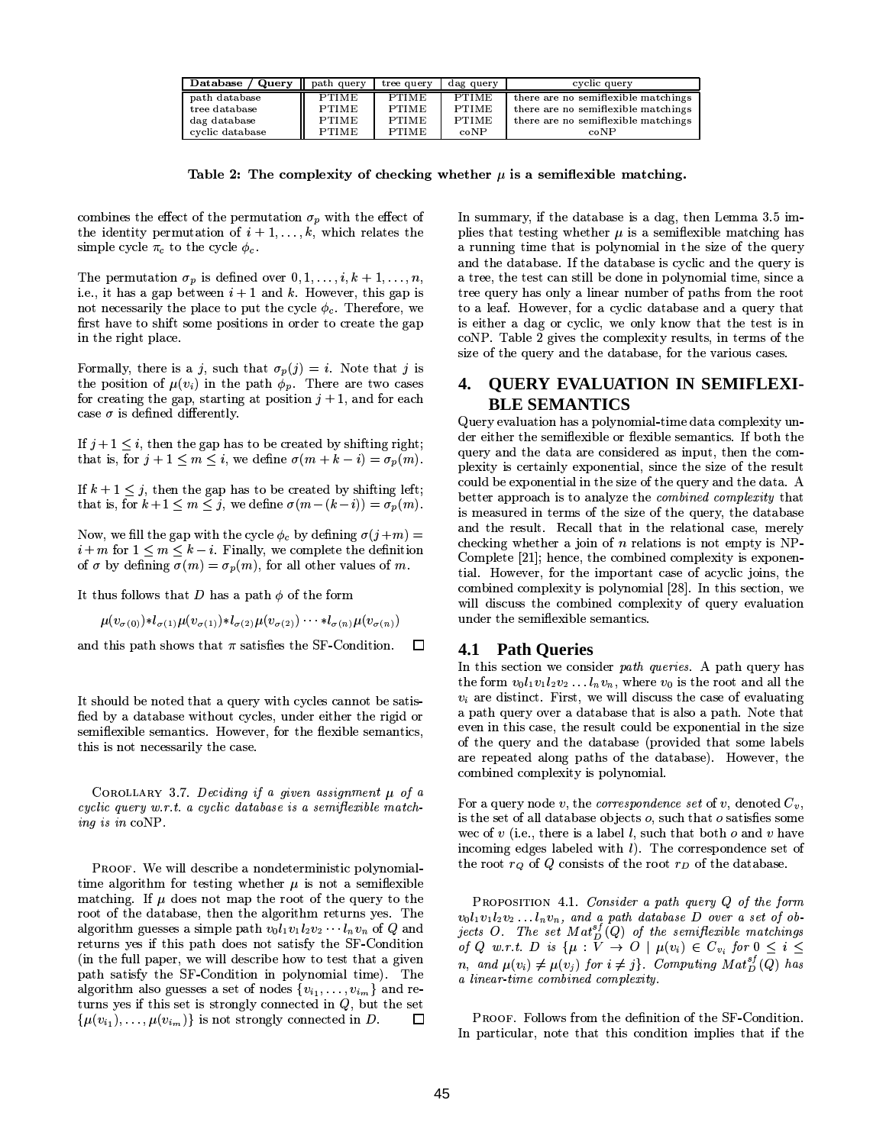| Query   <br>Database | path query   | tree query   | dag query    | cyclic query                        |
|----------------------|--------------|--------------|--------------|-------------------------------------|
| path database        | PTIME        | <b>PTIME</b> | <b>PTIME</b> | there are no semiflexible matchings |
| tree database        | <b>PTIME</b> | <b>PTIME</b> | <b>PTIME</b> | there are no semiflexible matchings |
| dag database         | <b>PTIME</b> | <b>PTIME</b> | <b>PTIME</b> | there are no semiflexible matchings |
| cyclic database      | <b>PTIME</b> | <b>PTIME</b> | coNP         | coNP                                |

Table 2: The complexity of checking whether  $\mu$  is a semiflexible matching.

combines the effect of the permutation  $\sigma_p$  with the effect of the identity permutation of  $i + 1, \ldots, k$ , which relates the simple cycle  $\pi_c$  to the cycle  $\phi_c$ .

The permutation  $\sigma_p$  is defined over  $0, 1, \ldots, i, k+1, \ldots, n$ , i.e., it has a gap between  $i + 1$  and k. However, this gap is not necessarily the place to put the cycle  $\phi_c$ . Therefore, we first have to shift some positions in order to create the gap in the right place.

Formally, there is a j, such that  $\sigma_p(j) = i$ . Note that j is the position of  $\mu(v_i)$  in the path  $\phi_p$ . There are two cases for creating the gap, starting at position  $j + 1$ , and for each case  $\sigma$  is defined differently.

If  $j+1 \leq i$ , then the gap has to be created by shifting right; that is, for  $j + 1 \le m \le i$ , we define  $\sigma(m + k - i) = \sigma_p(m)$ .

If  $k + 1 \leq j$ , then the gap has to be created by shifting left; that is, for  $k+1 \le m \le j$ , we define  $\sigma(m-(k-i)) = \sigma_p(m)$ .

Now, we fill the gap with the cycle  $\phi_c$  by defining  $\sigma(j+m)$  =  $i+m$  for  $1 \leq m \leq k-i$ . Finally, we complete the definition of  $\sigma$  by defining  $\sigma(m) = \sigma_p(m)$ , for all other values of m.

It thus follows that D has a path  $\phi$  of the form

$$
\mu(v_{\sigma(0)}) * l_{\sigma(1)} \mu(v_{\sigma(1)}) * l_{\sigma(2)} \mu(v_{\sigma(2)}) \cdots * l_{\sigma(n)} \mu(v_{\sigma(n)})
$$

and this path shows that  $\pi$  satisfies the SF-Condition. 口

It should be noted that a query with cycles cannot be satisfied by a database without cycles, under either the rigid or semiflexible semantics. However, for the flexible semantics, this is not necessarily the case.

COROLLARY 3.7. Deciding if a given assignment  $\mu$  of a cyclic query w.r.t. a cyclic database is a semifiexible matching is in  $coNP$ .

PROOF. We will describe a nondeterministic polynomialtime algorithm for testing whether  $\mu$  is not a semiflexible matching. If  $\mu$  does not map the root of the query to the root of the database, then the algorithm returns yes. The algorithm guesses a simple path  $v_0l_1v_1l_2v_2 \cdots l_nv_n$  of Q and returns yes if this path does not satisfy the SF-Condition (in the full paper, we will describe how to test that a given path satisfy the SF-Condition in polynomial time). The algorithm also guesses a set of nodes  $\{v_{i_1}, \ldots, v_{i_m}\}\$  and returns yes if this set is strongly connected in  $Q$ , but the set  $\{\mu(v_{i_1}), \ldots, \mu(v_{i_m})\}$  is not strongly connected in D.  $\Box$  In summary, if the database is a dag, then Lemma 3.5 implies that testing whether  $\mu$  is a semiflexible matching has a running time that is polynomial in the size of the query and the database. If the database is cyclic and the query is a tree, the test can still be done in polynomial time, since a tree query has only a linear number of paths from the root to a leaf. However, for a cyclic database and a query that is either a dag or cyclic, we only know that the test is in coNP. Table 2 gives the complexity results, in terms of the size of the query and the database, for the various cases.

# 4. QUERY EVALUATION IN SEMIFLEXI-**BLE SEMANTICS**

Query evaluation has a polynomial-time data complexity under either the semiflexible or flexible semantics. If both the query and the data are considered as input, then the complexity is certainly exponential, since the size of the result could be exponential in the size of the query and the data. A better approach is to analyze the *combined complexity* that is measured in terms of the size of the query, the database and the result. Recall that in the relational case, merely checking whether a join of  $n$  relations is not empty is NP-Complete [21]; hence, the combined complexity is exponential. However, for the important case of acyclic ioins, the combined complexity is polynomial [28]. In this section, we will discuss the combined complexity of query evaluation under the semiflexible semantics.

### **4.1 Path Queries**

In this section we consider path queries. A path query has the form  $v_0l_1v_1l_2v_2...l_nv_n$ , where  $v_0$  is the root and all the  $v_i$  are distinct. First, we will discuss the case of evaluating a path query over a database that is also a path. Note that even in this case, the result could be exponential in the size of the query and the database (provided that some labels are repeated along paths of the database). However, the combined complexity is polynomial.

For a query node v, the correspondence set of v, denoted  $C_v$ , is the set of all database objects  $o$ , such that  $o$  satisfies some wec of  $v$  (i.e., there is a label l, such that both  $o$  and  $v$  have incoming edges labeled with  $l$ ). The correspondence set of the root  $r_Q$  of Q consists of the root  $r_D$  of the database.

PROPOSITION 4.1. Consider a path query  $Q$  of the form voluvillary and a path database D over a set of objects O. The set  $Matb<sup>s<sub>f</sub></sup>(Q)$  of the semiflexible matchings of Q w.r.t. D is  $\{\mu : V \to O \mid \mu(v_i) \in C_{v_i} \text{ for } 0 \leq i \leq n\}$ n, and  $\mu(v_i) \neq \mu(v_j)$  for  $i \neq j$ . Computing  $Mat_D^{sf}(Q)$  has a linear time combined complexity.

PROOF. Follows from the definition of the SF-Condition. In particular, note that this condition implies that if the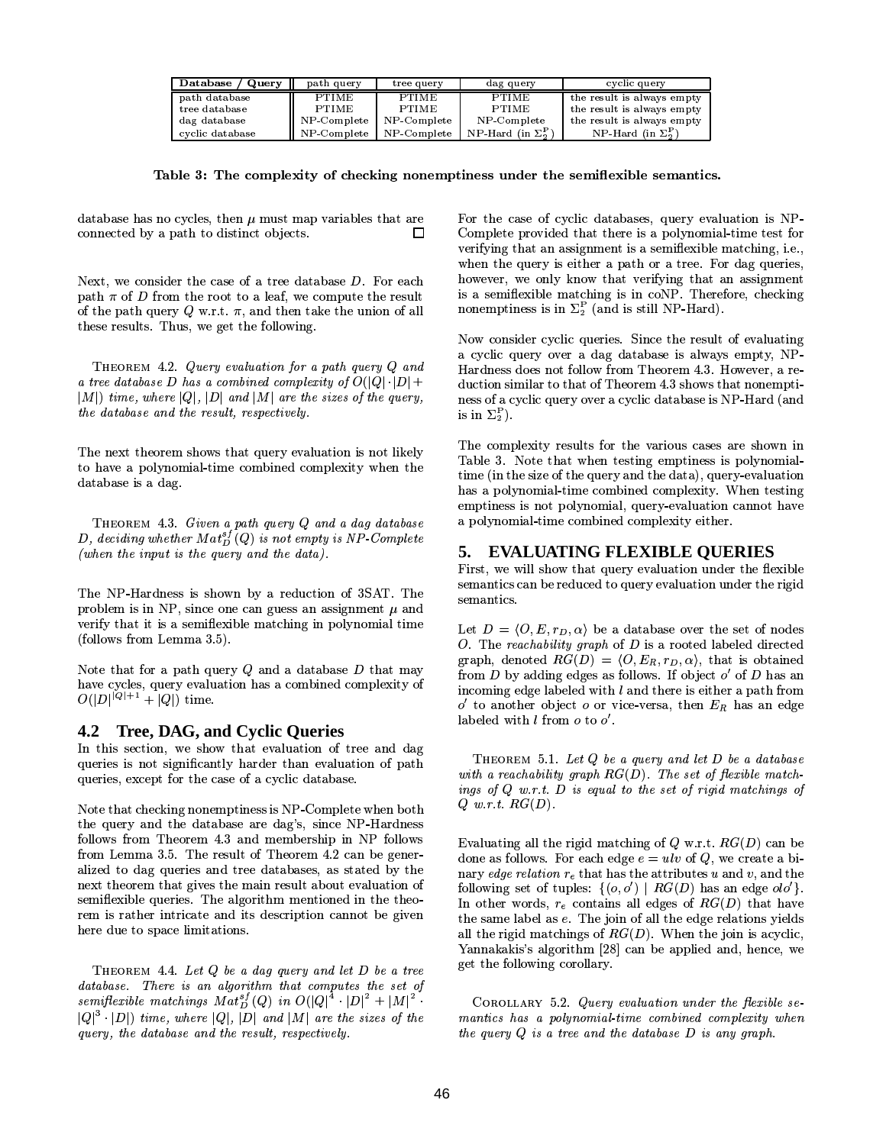| Database / Query | path query   | tree query   | dag query                        | cyclic query               |
|------------------|--------------|--------------|----------------------------------|----------------------------|
| path database    | <b>PTIME</b> | <b>PTIME</b> | <b>PTIME</b>                     | the result is always empty |
| tree database    | <b>PTIME</b> | <b>PTIME</b> | <b>PTIME</b>                     | the result is always empty |
| dag database     | NP-Complete  | NP-Complete  | NP-Complete                      | the result is always empty |
| cyclic database  | NP-Complete  | NP-Complete  | NP-Hard (in $\Sigma_5^{\rm P}$ ) | NP-Hard (in $\Sigma_2^P$ ) |

Table 3: The complexity of checking nonemptiness under the semiflexible semantics.

database has no cycles, then  $\mu$  must map variables that are connected by a path to distinct objects.  $\Box$ 

Next, we consider the case of a tree database  $D$ . For each path  $\pi$  of D from the root to a leaf, we compute the result of the path query Q w.r.t.  $\pi$ , and then take the union of all these results. Thus, we get the following.

THEOREM 4.2. Query evaluation for a path query Q and a tree database D has a combined complexity of  $O(|Q| \cdot |D| +$  $|M|$ ) time, where  $|Q|$ ,  $|D|$  and  $|M|$  are the sizes of the query, the database and the result, respectively.

The next theorem shows that query evaluation is not likely to have a polynomial-time combined complexity when the database is a dag.

THEOREM 4.3. Given a path query Q and a dag database D, deciding whether  $Mat_D^{sf}(Q)$  is not empty is NP-Complete (when the input is the query and the data).

The NP-Hardness is shown by a reduction of 3SAT. The problem is in NP, since one can guess an assignment  $\mu$  and verify that it is a semiflexible matching in polynomial time (follows from Lemma  $3.5$ ).

Note that for a path query  $Q$  and a database  $D$  that may have cycles, query evaluation has a combined complexity of  $O(|D|^{|Q|+1} + |Q|)$  time.

### 4.2 Tree, DAG, and Cyclic Queries

In this section, we show that evaluation of tree and dag queries is not significantly harder than evaluation of path queries, except for the case of a cyclic database.

Note that checking nonemptiness is NP-Complete when both the query and the database are dag's, since NP-Hardness follows from Theorem 4.3 and membership in NP follows from Lemma 3.5. The result of Theorem 4.2 can be generalized to dag queries and tree databases, as stated by the next theorem that gives the main result about evaluation of semiflexible queries. The algorithm mentioned in the theorem is rather intricate and its description cannot be given here due to space limitations.

THEOREM 4.4. Let Q be a dag query and let D be a tree database. There is an algorithm that computes the set of semiflexible matchings  $\overline{Mat_D^{sf}(Q)}$  in  $O(|Q|^4 \cdot |D|^2 + |M|^2$ .  $|Q|^3 \cdot |D|$ ) time, where  $|Q|$ ,  $|D|$  and  $|M|$  are the sizes of the query, the database and the result, respectively.

For the case of cyclic databases, query evaluation is NP-Complete provided that there is a polynomial-time test for verifying that an assignment is a semiflexible matching, i.e., when the query is either a path or a tree. For dag queries, however, we only know that verifying that an assignment is a semiflexible matching is in coNP. Therefore, checking nonemptiness is in  $\Sigma_2^P$  (and is still NP-Hard).

Now consider cyclic queries. Since the result of evaluating a cyclic query over a dag database is always empty, NP-Hardness does not follow from Theorem 4.3. However, a reduction similar to that of Theorem 4.3 shows that nonemptiness of a cyclic query over a cyclic database is NP-Hard (and is in  $\Sigma_2^P$ ).

The complexity results for the various cases are shown in Table 3. Note that when testing emptiness is polynomialtime (in the size of the query and the data), query-evaluation has a polynomial-time combined complexity. When testing emptiness is not polynomial, query-evaluation cannot have a polynomial-time combined complexity either.

#### 5. EVALUATING FLEXIBLE QUERIES

First, we will show that query evaluation under the flexible semantics can be reduced to query evaluation under the rigid semantics.

Let  $D = \langle O, E, r_D, \alpha \rangle$  be a database over the set of nodes O. The reachability graph of  $D$  is a rooted labeled directed graph, denoted  $RG(D) = \langle O, E_R, r_D, \alpha \rangle$ , that is obtained from D by adding edges as follows. If object  $o'$  of D has an incoming edge labeled with  $l$  and there is either a path from  $o'$  to another object o or vice-versa, then  $E_R$  has an edge labeled with  $l$  from  $o$  to  $o'$ .

THEOREM 5.1. Let  $Q$  be a query and let  $D$  be a database with a reachability graph  $RG(D)$ . The set of flexible matchings of  $Q$  w.r.t.  $D$  is equal to the set of rigid matchings of  $Q$  w.r.t.  $RG(D)$ .

Evaluating all the rigid matching of Q w.r.t.  $RG(D)$  can be done as follows. For each edge  $e = ulv$  of Q, we create a binary edge relation  $r_e$  that has the attributes u and v, and the following set of tuples:  $\{(o, o') | RG(D)$  has an edge  $olo' \}$ . In other words,  $r_e$  contains all edges of  $RG(D)$  that have the same label as e. The join of all the edge relations yields all the rigid matchings of  $RG(D)$ . When the join is acyclic, Yannakakis's algorithm [28] can be applied and, hence, we get the following corollary.

COROLLARY 5.2. Query evaluation under the flexible semantics has a polynomial-time combined complexity when the query  $Q$  is a tree and the database  $D$  is any graph.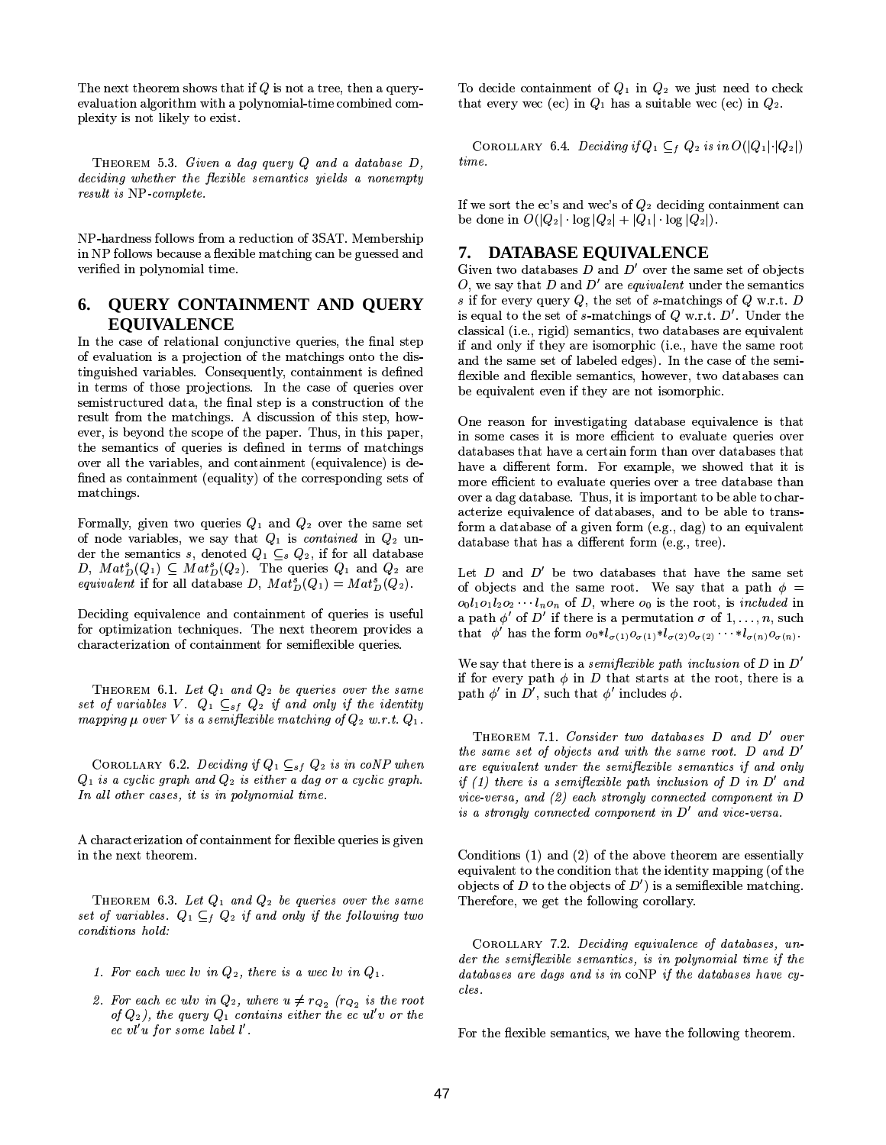The next theorem shows that if  $Q$  is not a tree, then a queryevaluation algorithm with a polynomial-time combined complexity is not likely to exist.

THEOREM 5.3. Given a dag query  $Q$  and a database  $D$ , deciding whether the flexible semantics yields a nonempty result is NP complete.

NP-hardness follows from a reduction of 3SAT. Membership in NP follows because a flexible matching can be guessed and verified in polynomial time.

#### **QUERY CONTAINMENT AND QUERY** 6. **EOUIVALENCE**

In the case of relational conjunctive queries, the final step of evaluation is a projection of the matchings onto the distinguished variables. Consequently, containment is defined in terms of those projections. In the case of queries over semistructured data, the final step is a construction of the result from the matchings. A discussion of this step, however, is beyond the scope of the paper. Thus, in this paper, the semantics of queries is defined in terms of matchings over all the variables, and containment (equivalence) is defined as containment (equality) of the corresponding sets of matchings.

Formally, given two queries  $Q_1$  and  $Q_2$  over the same set of node variables, we say that  $Q_1$  is contained in  $Q_2$  under the semantics s, denoted  $Q_1 \subseteq_s Q_2$ , if for all database D,  $Mat_D^s(Q_1) \subseteq Mat_D^s(Q_2)$ . The queries  $Q_1$  and  $Q_2$  are *equivalent* if for all database D,  $Mat_D^s(Q_1) = Mat_D^s(Q_2)$ .

Deciding equivalence and containment of queries is useful for optimization techniques. The next theorem provides a characterization of containment for semiflexible queries.

THEOREM 6.1. Let  $Q_1$  and  $Q_2$  be queries over the same set of variables V.  $Q_1 \subseteq_{sf} Q_2$  if and only if the identity mapping  $\mu$  over V is a semiflexible matching of  $Q_2$  w.r.t.  $Q_1$ .

COROLLARY 6.2. Deciding if  $Q_1 \subseteq_{sf} Q_2$  is in coNP when  $Q_1$  is a cyclic graph and  $Q_2$  is either a dag or a cyclic graph. In all other cases, it is in polynomial time.

A characterization of containment for flexible queries is given in the next theorem.

THEOREM 6.3. Let  $Q_1$  and  $Q_2$  be queries over the same set of variables.  $Q_1 \subseteq_f Q_2$  if and only if the following two conditions hold:

- 1. For each wec lv in  $Q_2$ , there is a wec lv in  $Q_1$ .
- 2. For each ec ulv in  $Q_2$ , where  $u \neq r_{Q_2}$  ( $r_{Q_2}$  is the root of  $Q_2$ ), the query  $Q_1$  contains either the ec ul'v or the ec vl'u for some label  $l'$ .

To decide containment of  $Q_1$  in  $Q_2$  we just need to check that every wec (ec) in  $Q_1$  has a suitable wec (ec) in  $Q_2$ .

COROLLARY 6.4. Deciding if  $Q_1 \subseteq_f Q_2$  is in  $O(|Q_1| \cdot |Q_2|)$  $time.$ 

If we sort the ec's and wec's of  $Q_2$  deciding containment can be done in  $O(|Q_2| \log |Q_2| + |Q_1| \log |Q_2|)$ .

# 7. DATABASE EQUIVALENCE

Given two databases  $D$  and  $D'$  over the same set of objects O, we say that D and D' are equivalent under the semantics s if for every query  $Q$ , the set of s-matchings of  $Q$  w.r.t.  $D$ is equal to the set of s-matchings of Q w.r.t.  $D'$ . Under the classical (i.e., rigid) semantics, two databases are equivalent if and only if they are isomorphic (i.e., have the same root and the same set of labeled edges). In the case of the semiflexible and flexible semantics, however, two databases can be equivalent even if they are not isomorphic.

One reason for investigating database equivalence is that in some cases it is more efficient to evaluate queries over databases that have a certain form than over databases that have a different form. For example, we showed that it is more efficient to evaluate queries over a tree database than over a dag database. Thus, it is important to be able to characterize equivalence of databases, and to be able to transform a database of a given form (e.g., dag) to an equivalent database that has a different form (e.g., tree).

Let  $D$  and  $D'$  be two databases that have the same set of objects and the same root. We say that a path  $\phi =$  $o_0l_1o_1l_2o_2\cdots l_n o_n$  of D, where  $o_0$  is the root, is *included* in a path  $\phi'$  of D' if there is a permutation  $\sigma$  of  $1, \ldots, n$ , such that  $\phi'$  has the form  $o_0 * l_{\sigma(1)} o_{\sigma(1)} * l_{\sigma(2)} o_{\sigma(2)} \cdots * l_{\sigma(n)} o_{\sigma(n)}$ .

We say that there is a *semifierable path inclusion* of D in  $D'$ if for every path  $\phi$  in D that starts at the root, there is a path  $\phi'$  in D', such that  $\phi'$  includes  $\phi$ .

THEOREM 7.1. Consider two databases D and D' over the same set of objects and with the same root.  $D$  and  $D'$ are equivalent under the semiflexible semantics if and only if (1) there is a semiflexible path inclusion of  $D$  in  $D'$  and vice-versa, and  $(2)$  each strongly connected component in D is a strongly connected component in  $D'$  and vice-versa.

Conditions  $(1)$  and  $(2)$  of the above theorem are essentially equivalent to the condition that the identity mapping (of the objects of D to the objects of  $D'$  is a semiflexible matching. Therefore, we get the following corollary.

COROLLARY 7.2. Deciding equivalence of databases, under the semiflexible semantics, is in polynomial time if the databases are dags and is in coNP if the databases have cycles.

For the flexible semantics, we have the following theorem.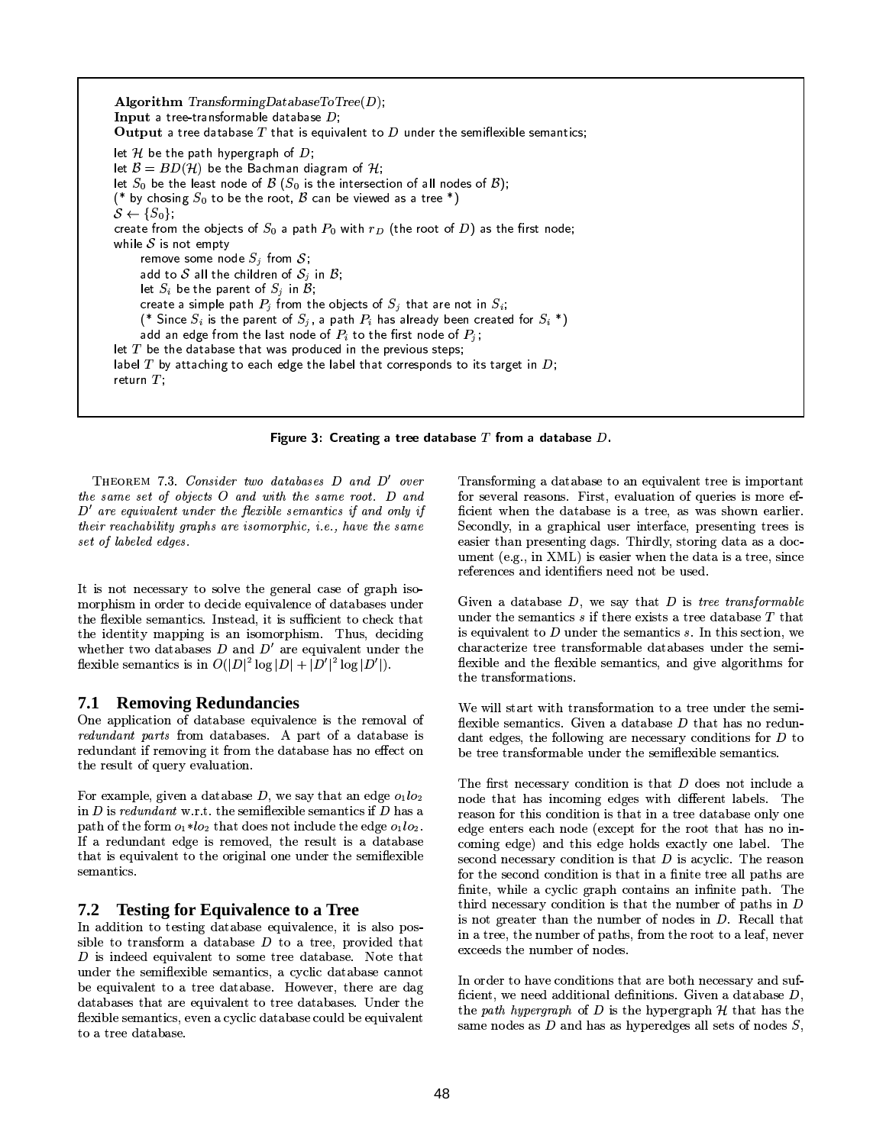Algorithm TransformingDatabaseToTree $(D)$ ; Input a tree-transformable database  $D$ ; Output a tree database  $T$  that is equivalent to  $D$  under the semiflexible semantics; let H be the path hypergraph of  $D$ ; let  $B = BD(\mathcal{H})$  be the Bachman diagram of H; let  $S_0$  be the least node of  $\mathcal B$  ( $S_0$  is the intersection of all nodes of  $\mathcal B$ ); (\* by chosing  $S_0$  to be the root,  $\beta$  can be viewed as a tree \*)  $S \leftarrow \{S_0\};$ create from the objects of  $S_0$  a path  $P_0$  with  $r_D$  (the root of D) as the first node; while  $S$  is not empty remove some node  $S_i$  from  $S_i$ add to S all the children of  $S_i$  in B; let  $S_i$  be the parent of  $S_i$  in  $B_i$ ; create a simple path  $P_i$  from the objects of  $S_i$  that are not in  $S_i$ ; (\* Since  $S_i$  is the parent of  $S_i$ , a path  $P_i$  has already been created for  $S_i$  \*) add an edge from the last node of  $P_i$  to the first node of  $P_i$ ; let  $T$  be the database that was produced in the previous steps; label  $T$  by attaching to each edge the label that corresponds to its target in  $D$ ; return  $T$ ;

Figure 3: Creating a tree database  $T$  from a database  $D$ .

THEOREM 7.3. Consider two databases D and D' over the same set of objects O and with the same root. D and  $D'$  are equivalent under the flexible semantics if and only if their reachability graphs are isomorphic, i.e., have the same set of labeled edges.

It is not necessary to solve the general case of graph isomorphism in order to decide equivalence of databases under the flexible semantics. Instead, it is sufficient to check that the identity mapping is an isomorphism. Thus, deciding whether two databases  $D$  and  $D'$  are equivalent under the flexible semantics is in  $O(|D|^2 \log |D| + |D'|^2 \log |D'|)$ .

#### **Removing Redundancies** 7.1

One application of database equivalence is the removal of *redundant parts* from databases. A part of a database is redundant if removing it from the database has no effect on the result of query evaluation.

For example, given a database  $D$ , we say that an edge  $o_1lo_2$ in  $D$  is redundant w.r.t. the semiflexible semantics if  $D$  has a path of the form  $o_1 * l o_2$  that does not include the edge  $o_1 l o_2$ . If a redundant edge is removed, the result is a database that is equivalent to the original one under the semiflexible semantics.

#### $7.2$ **Testing for Equivalence to a Tree**

In addition to testing database equivalence, it is also possible to transform a database  $D$  to a tree, provided that  $D$  is indeed equivalent to some tree database. Note that under the semiflexible semantics, a cyclic database cannot be equivalent to a tree database. However, there are dag databases that are equivalent to tree databases. Under the flexible semantics, even a cyclic database could be equivalent to a tree database.

Transforming a database to an equivalent tree is important for several reasons. First, evaluation of queries is more efficient when the database is a tree, as was shown earlier. Secondly, in a graphical user interface, presenting trees is easier than presenting dags. Thirdly, storing data as a document (e.g., in XML) is easier when the data is a tree, since references and identifiers need not be used.

Given a database  $D$ , we say that  $D$  is tree transformable under the semantics  $s$  if there exists a tree database  $T$  that is equivalent to  $D$  under the semantics  $s$ . In this section, we characterize tree transformable databases under the semiflexible and the flexible semantics, and give algorithms for the transformations.

We will start with transformation to a tree under the semiflexible semantics. Given a database  $D$  that has no redundant edges, the following are necessary conditions for  $D$  to be tree transformable under the semiflexible semantics.

The first necessary condition is that D does not include a node that has incoming edges with different labels. The reason for this condition is that in a tree database only one edge enters each node (except for the root that has no incoming edge) and this edge holds exactly one label. The second necessary condition is that  $D$  is acyclic. The reason for the second condition is that in a finite tree all paths are finite, while a cyclic graph contains an infinite path. The third necessary condition is that the number of paths in  $D$ is not greater than the number of nodes in  $D$ . Recall that in a tree, the number of paths, from the root to a leaf, never exceeds the number of nodes.

In order to have conditions that are both necessary and sufficient, we need additional definitions. Given a database  $D$ , the path hypergraph of  $D$  is the hypergraph  $H$  that has the same nodes as  $D$  and has as hyperedges all sets of nodes  $S$ ,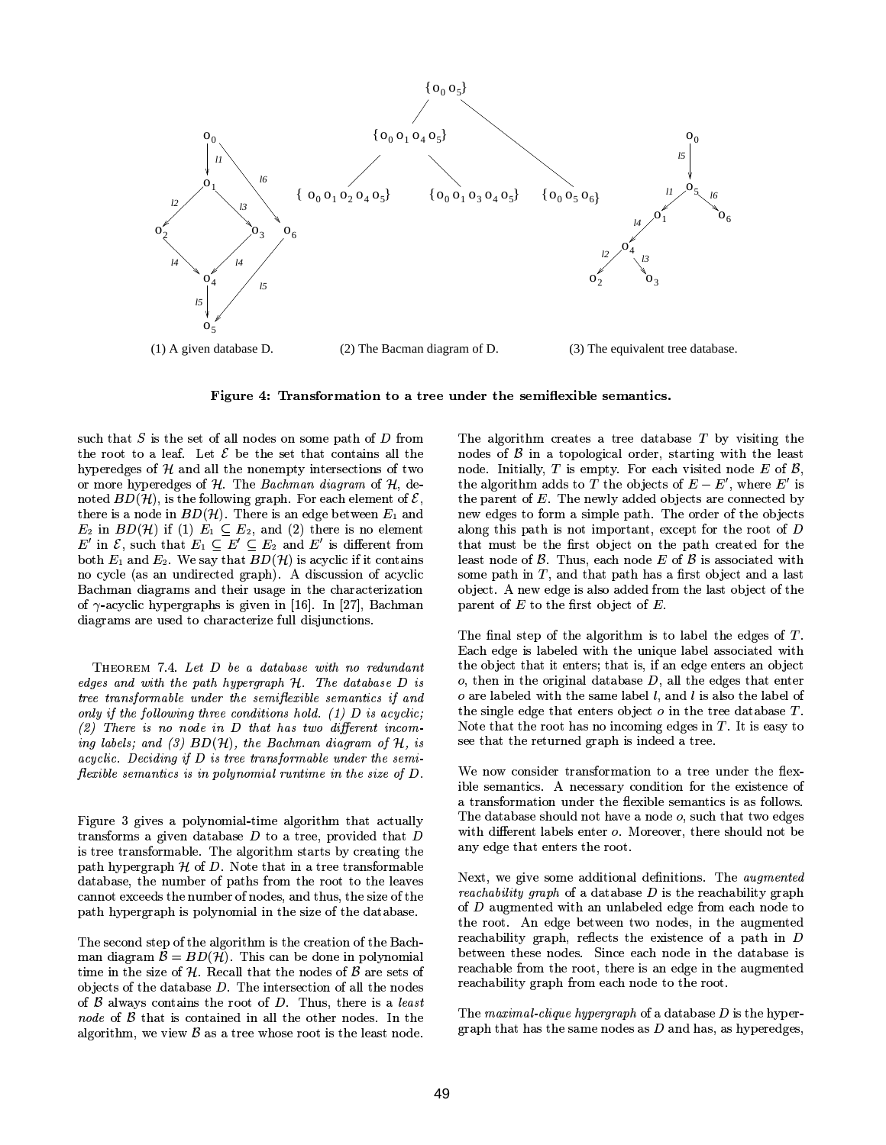

Figure 4: Transformation to a tree under the semiflexible semantics.

such that  $S$  is the set of all nodes on some path of  $D$  from the root to a leaf. Let  $\mathcal E$  be the set that contains all the hyperedges of  $H$  and all the nonempty intersections of two or more hyperedges of  $H$ . The Bachman diagram of  $H$ , denoted  $BD(\mathcal{H})$ , is the following graph. For each element of  $\mathcal{E}$ , there is a node in  $BD(\mathcal{H})$ . There is an edge between  $E_1$  and  $E_2$  in  $BD(\mathcal{H})$  if (1)  $E_1 \subseteq E_2$ , and (2) there is no element  $E'$  in  $\mathcal{E}$ , such that  $E_1 \subseteq E' \subseteq E_2$  and  $E'$  is different from both  $E_1$  and  $E_2$ . We say that  $BD(\mathcal{H})$  is acyclic if it contains no cycle (as an undirected graph). A discussion of acyclic Bachman diagrams and their usage in the characterization of  $\gamma$ -acyclic hypergraphs is given in [16]. In [27], Bachman diagrams are used to characterize full disjunctions.

THEOREM 7.4. Let D be a database with no redundant edges and with the path hypergraph  $H$ . The database  $D$  is tree transformable under the semiflexible semantics if and only if the following three conditions hold. (1)  $D$  is acyclic;  $(2)$  There is no node in D that has two different incoming labels; and (3)  $BD(\mathcal{H})$ , the Bachman diagram of  $\mathcal{H}$ , is acyclic. Deciding if  $D$  is tree transformable under the semiflexible semantics is in polynomial runtime in the size of  $D$ .

Figure 3 gives a polynomial-time algorithm that actually transforms a given database  $D$  to a tree, provided that  $D$ is tree transformable. The algorithm starts by creating the path hypergraph  $H$  of  $D$ . Note that in a tree transformable database, the number of paths from the root to the leaves cannot exceeds the number of nodes, and thus, the size of the path hypergraph is polynomial in the size of the database.

The second step of the algorithm is the creation of the Bachman diagram  $\mathcal{B} = BD(\mathcal{H})$ . This can be done in polynomial time in the size of  $H$ . Recall that the nodes of  $B$  are sets of objects of the database  $D$ . The intersection of all the nodes of  $\beta$  always contains the root of  $D$ . Thus, there is a *least* node of  $\beta$  that is contained in all the other nodes. In the algorithm, we view  $\beta$  as a tree whose root is the least node.

The algorithm creates a tree database  $T$  by visiting the nodes of  $\beta$  in a topological order, starting with the least node. Initially, T is empty. For each visited node  $E$  of  $\beta$ , the algorithm adds to T the objects of  $E - E'$ , where E' is the parent of  $E$ . The newly added objects are connected by new edges to form a simple path. The order of the objects along this path is not important, except for the root of  $D$ that must be the first object on the path created for the least node of  $\beta$ . Thus, each node E of  $\beta$  is associated with some path in  $T$ , and that path has a first object and a last object. A new edge is also added from the last object of the parent of  $E$  to the first object of  $E$ .

The final step of the algorithm is to label the edges of  $T$ . Each edge is labeled with the unique label associated with the object that it enters; that is, if an edge enters an object  $o$ , then in the original database  $D$ , all the edges that enter  $o$  are labeled with the same label  $l$ , and  $l$  is also the label of the single edge that enters object  $o$  in the tree database  $T$ . Note that the root has no incoming edges in  $T$ . It is easy to see that the returned graph is indeed a tree.

We now consider transformation to a tree under the flexible semantics. A necessary condition for the existence of a transformation under the flexible semantics is as follows. The database should not have a node o, such that two edges with different labels enter o. Moreover, there should not be any edge that enters the root.

Next, we give some additional definitions. The *augmented reachability graph* of a database  $D$  is the reachability graph of D augmented with an unlabeled edge from each node to the root. An edge between two nodes, in the augmented reachability graph, reflects the existence of a path in  $D$ between these nodes. Since each node in the database is reachable from the root, there is an edge in the augmented reachability graph from each node to the root.

The maximal clique hypergraph of a database  $D$  is the hypergraph that has the same nodes as  $D$  and has, as hyperedges,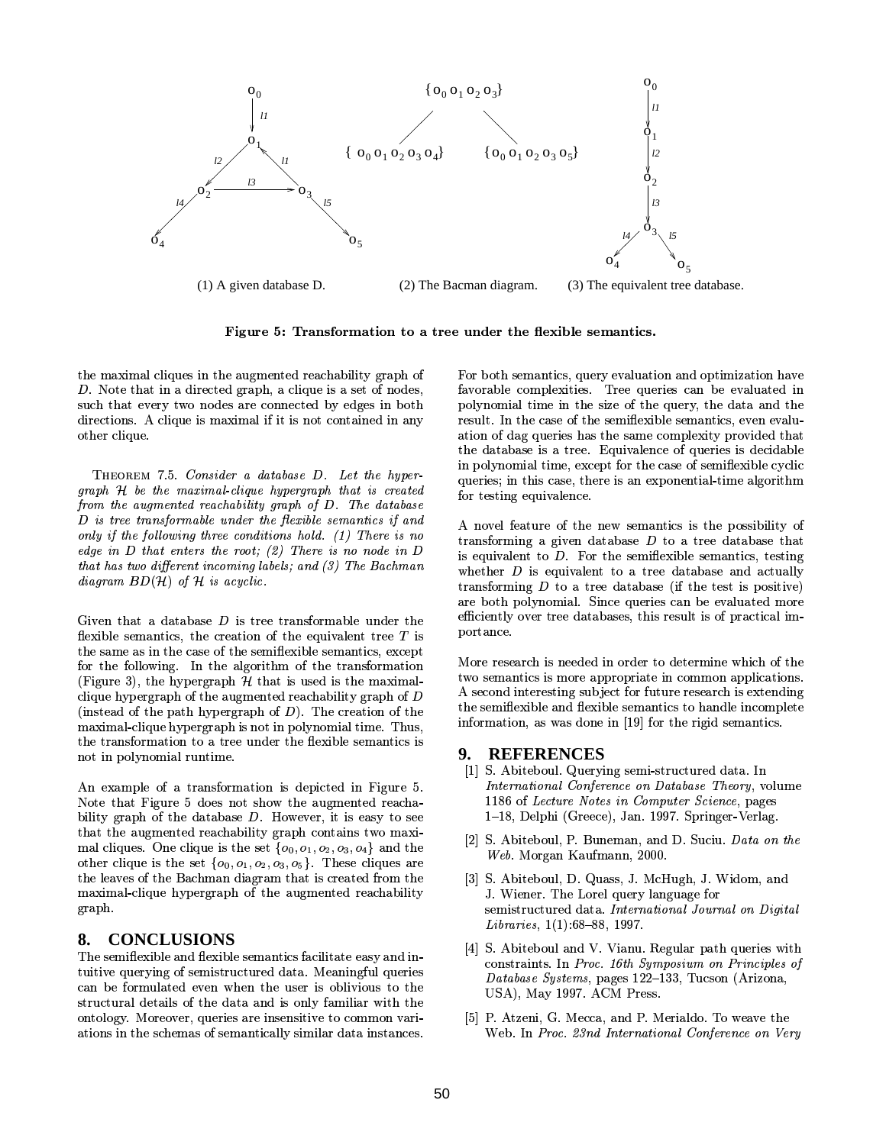

Figure 5: Transformation to a tree under the flexible semantics.

the maximal cliques in the augmented reachability graph of  $D$ . Note that in a directed graph, a clique is a set of nodes, such that every two nodes are connected by edges in both directions. A clique is maximal if it is not contained in any other clique.

THEOREM 7.5. Consider a database D. Let the hypergraph H be the maximal-clique hypergraph that is created from the augmented reachability graph of D. The database D is tree transformable under the flexible semantics if and only if the following three conditions hold. (1) There is no edge in  $D$  that enters the root; (2) There is no node in  $D$ that has two different incoming labels; and  $(3)$  The Bachman diagram  $BD(\mathcal{H})$  of  $\mathcal H$  is acyclic.

Given that a database  $D$  is tree transformable under the flexible semantics, the creation of the equivalent tree  $T$  is the same as in the case of the semiflexible semantics, except for the following. In the algorithm of the transformation (Figure 3), the hypergraph  $H$  that is used is the maximalclique hypergraph of the augmented reachability graph of  $D$ (instead of the path hypergraph of  $D$ ). The creation of the maximal-clique hypergraph is not in polynomial time. Thus, the transformation to a tree under the flexible semantics is not in polynomial runtime.

An example of a transformation is depicted in Figure 5. Note that Figure 5 does not show the augmented reachability graph of the database  $D$ . However, it is easy to see that the augmented reachability graph contains two maximal cliques. One clique is the set  $\{o_0, o_1, o_2, o_3, o_4\}$  and the other clique is the set  $\{o_0, o_1, o_2, o_3, o_5\}$ . These cliques are the leaves of the Bachman diagram that is created from the maximal-clique hypergraph of the augmented reachability graph.

# 8. CONCLUSIONS

The semiflexible and flexible semantics facilitate easy and intuitive querying of semistructured data. Meaningful queries can be formulated even when the user is oblivious to the structural details of the data and is only familiar with the ontology. Moreover, queries are insensitive to common variations in the schemas of semantically similar data instances.

For both semantics, query evaluation and optimization have favorable complexities. Tree queries can be evaluated in polynomial time in the size of the query, the data and the result. In the case of the semiflexible semantics, even evaluation of dag queries has the same complexity provided that the database is a tree. Equivalence of queries is decidable in polynomial time, except for the case of semiflexible cyclic queries; in this case, there is an exponential-time algorithm for testing equivalence.

A novel feature of the new semantics is the possibility of transforming a given database  $D$  to a tree database that is equivalent to  $D$ . For the semiflexible semantics, testing whether  $D$  is equivalent to a tree database and actually transforming  $D$  to a tree database (if the test is positive) are both polynomial. Since queries can be evaluated more efficiently over tree databases, this result is of practical importance.

More research is needed in order to determine which of the two semantics is more appropriate in common applications. A second interesting subject for future research is extending the semiflexible and flexible semantics to handle incomplete information, as was done in [19] for the rigid semantics.

## 9. REFERENCES

- [1] S. Abiteboul. Querying semi-structured data. In International Conference on Database Theory, volume 1186 of Lecture Notes in Computer Science, pages 1-18, Delphi (Greece), Jan. 1997. Springer-Verlag.
- [2] S. Abiteboul, P. Buneman, and D. Suciu. Data on the Web. Morgan Kaufmann, 2000.
- [3] S. Abiteboul, D. Quass, J. McHugh, J. Widom, and J. Wiener. The Lorel query language for semistructured data. International Journal on Digital Libraries, 1(1):68-88, 1997.
- [4] S. Abiteboul and V. Vianu. Regular path queries with constraints. In Proc. 16th Symposium on Principles of Database Systems, pages 122-133, Tucson (Arizona, USA), May 1997. ACM Press.
- [5] P. Atzeni, G. Mecca, and P. Merialdo. To weave the Web. In Proc. 23nd International Conference on Very